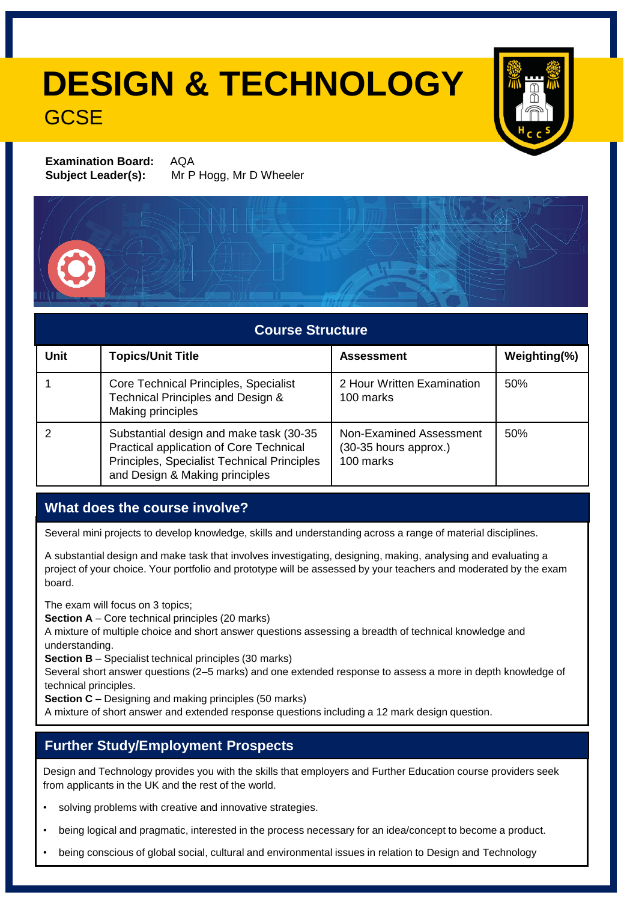## **DESIGN & TECHNOLOGY GCSE**



**Examination Board:** AQA **Subject Leader(s):** Mr P Hogg, Mr D Wheeler



| <b>Course Structure</b> |                                                                                                                                                                     |                                                               |              |  |  |
|-------------------------|---------------------------------------------------------------------------------------------------------------------------------------------------------------------|---------------------------------------------------------------|--------------|--|--|
| Unit                    | <b>Topics/Unit Title</b>                                                                                                                                            | <b>Assessment</b>                                             | Weighting(%) |  |  |
|                         | Core Technical Principles, Specialist<br>Technical Principles and Design &<br>Making principles                                                                     | 2 Hour Written Examination<br>100 marks                       | 50%          |  |  |
| 2                       | Substantial design and make task (30-35<br>Practical application of Core Technical<br>Principles, Specialist Technical Principles<br>and Design & Making principles | Non-Examined Assessment<br>(30-35 hours approx.)<br>100 marks | 50%          |  |  |

#### **What does the course involve?**

Several mini projects to develop knowledge, skills and understanding across a range of material disciplines.

A substantial design and make task that involves investigating, designing, making, analysing and evaluating a project of your choice. Your portfolio and prototype will be assessed by your teachers and moderated by the exam board.

The exam will focus on 3 topics;

**Section A** – Core technical principles (20 marks)

A mixture of multiple choice and short answer questions assessing a breadth of technical knowledge and understanding.

**Section B** – Specialist technical principles (30 marks)

Several short answer questions (2–5 marks) and one extended response to assess a more in depth knowledge of technical principles.

**Section C** – Designing and making principles (50 marks)

A mixture of short answer and extended response questions including a 12 mark design question.

#### **Further Study/Employment Prospects**

Design and Technology provides you with the skills that employers and Further Education course providers seek from applicants in the UK and the rest of the world.

- solving problems with creative and innovative strategies.
- being logical and pragmatic, interested in the process necessary for an idea/concept to become a product.
- being conscious of global social, cultural and environmental issues in relation to Design and Technology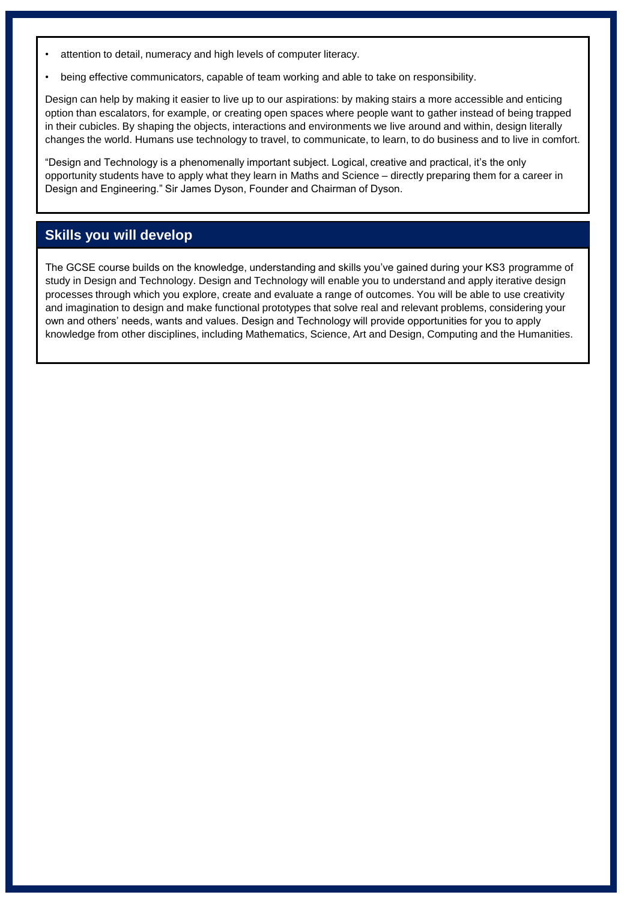- attention to detail, numeracy and high levels of computer literacy.
- being effective communicators, capable of team working and able to take on responsibility.

Design can help by making it easier to live up to our aspirations: by making stairs a more accessible and enticing option than escalators, for example, or creating open spaces where people want to gather instead of being trapped in their cubicles. By shaping the objects, interactions and environments we live around and within, design literally changes the world. Humans use technology to travel, to communicate, to learn, to do business and to live in comfort.

"Design and Technology is a phenomenally important subject. Logical, creative and practical, it's the only opportunity students have to apply what they learn in Maths and Science – directly preparing them for a career in Design and Engineering." Sir James Dyson, Founder and Chairman of Dyson.

#### **Skills you will develop**

The GCSE course builds on the knowledge, understanding and skills you've gained during your KS3 programme of study in Design and Technology. Design and Technology will enable you to understand and apply iterative design processes through which you explore, create and evaluate a range of outcomes. You will be able to use creativity and imagination to design and make functional prototypes that solve real and relevant problems, considering your own and others' needs, wants and values. Design and Technology will provide opportunities for you to apply knowledge from other disciplines, including Mathematics, Science, Art and Design, Computing and the Humanities.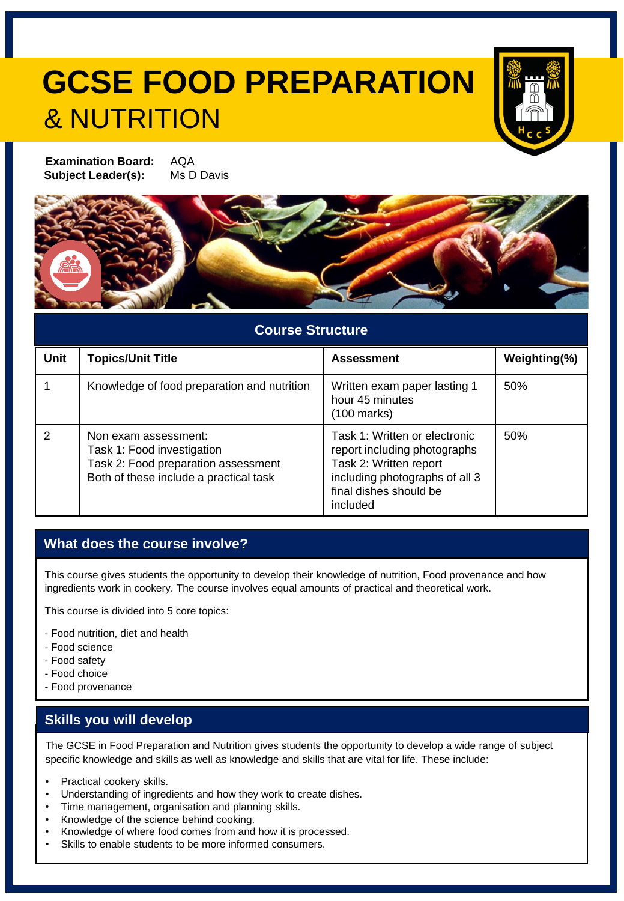# **GCSE FOOD PREPARATION** & NUTRITION



**Examination Board:** AQA **Subject Leader(s):** Ms D Davis



#### **Course Structure**

| <b>Unit</b> | <b>Topics/Unit Title</b>                                                                                                            | <b>Assessment</b>                                                                                                                                               | Weighting(%) |
|-------------|-------------------------------------------------------------------------------------------------------------------------------------|-----------------------------------------------------------------------------------------------------------------------------------------------------------------|--------------|
|             | Knowledge of food preparation and nutrition                                                                                         | Written exam paper lasting 1<br>hour 45 minutes<br>$(100 \text{ marks})$                                                                                        | 50%          |
| 2           | Non exam assessment:<br>Task 1: Food investigation<br>Task 2: Food preparation assessment<br>Both of these include a practical task | Task 1: Written or electronic<br>report including photographs<br>Task 2: Written report<br>including photographs of all 3<br>final dishes should be<br>included | 50%          |

#### **What does the course involve?**

This course gives students the opportunity to develop their knowledge of nutrition, Food provenance and how ingredients work in cookery. The course involves equal amounts of practical and theoretical work.

This course is divided into 5 core topics:

- Food nutrition, diet and health
- Food science
- Food safety
- Food choice
- Food provenance

#### **Skills you will develop**

The GCSE in Food Preparation and Nutrition gives students the opportunity to develop a wide range of subject specific knowledge and skills as well as knowledge and skills that are vital for life. These include:

- Practical cookery skills.
- Understanding of ingredients and how they work to create dishes.
- Time management, organisation and planning skills.
- Knowledge of the science behind cooking.
- Knowledge of where food comes from and how it is processed.
- Skills to enable students to be more informed consumers.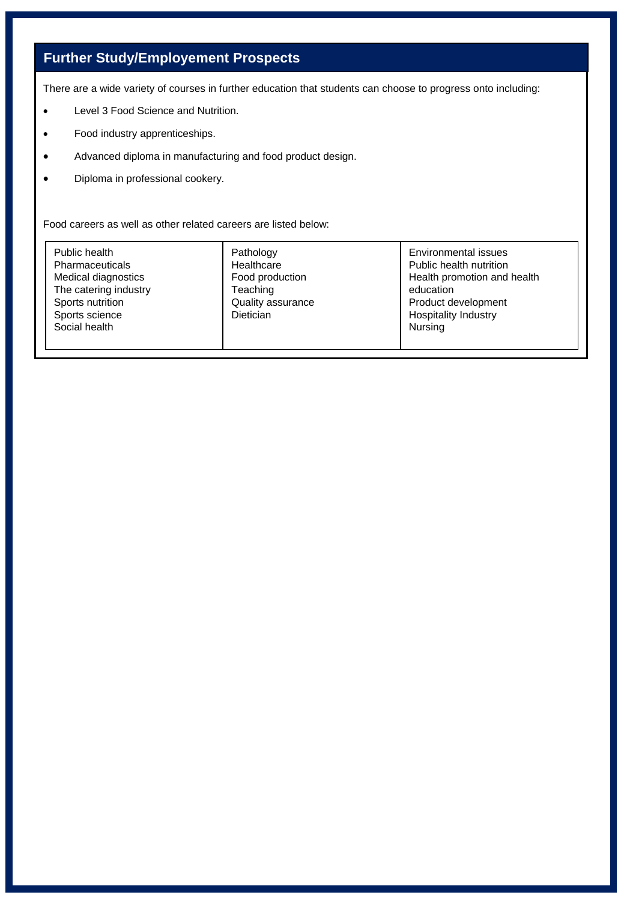### **Further Study/Employement Prospects**

There are a wide variety of courses in further education that students can choose to progress onto including:

- Level 3 Food Science and Nutrition.
- Food industry apprenticeships.
- Advanced diploma in manufacturing and food product design.
- Diploma in professional cookery.

Food careers as well as other related careers are listed below:

| Public health<br>Pharmaceuticals<br>Medical diagnostics<br>The catering industry<br>Sports nutrition<br>Sports science<br>Social health | Pathology<br>Healthcare<br>Food production<br>Teaching<br>Quality assurance<br><b>Dietician</b> | Environmental issues<br>Public health nutrition<br>Health promotion and health<br>education<br>Product development<br>Hospitality Industry<br>Nursing |
|-----------------------------------------------------------------------------------------------------------------------------------------|-------------------------------------------------------------------------------------------------|-------------------------------------------------------------------------------------------------------------------------------------------------------|
|-----------------------------------------------------------------------------------------------------------------------------------------|-------------------------------------------------------------------------------------------------|-------------------------------------------------------------------------------------------------------------------------------------------------------|